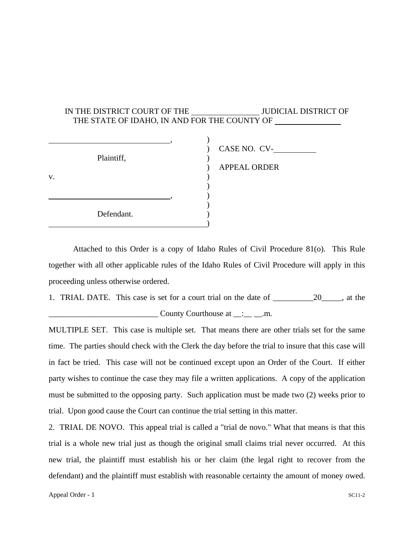## IN THE DISTRICT COURT OF THE JUDICIAL DISTRICT OF THE STATE OF IDAHO, IN AND FOR THE COUNTY OF  $\qquad \qquad \overbrace{\phantom{133331}}^{1} \qquad \qquad \overbrace{\phantom{1333311}}^{1} \qquad \qquad \overbrace{\phantom{1333311}}^{1} \qquad \qquad \overbrace{\phantom{1333311}}^{1} \qquad \qquad \overbrace{\phantom{1333311}}^{1} \qquad \qquad \overbrace{\phantom{13333111}}^{1} \qquad \qquad \overbrace{\phantom{13333111}}^{1} \qquad \qquad \overbrace{\phantom{13333111}}^{1} \qquad \qquad \overbrace{\phantom{13333111}}^{1} \$  ) CASE NO. CV- Plaintiff,  $\qquad \qquad$ ) ) APPEAL ORDER  $\mathbf v.$  )  $\overline{\phantom{a}}$ , we have the contract of  $\mathbf{y}$ ,  $\mathbf{y}$ ,  $\mathbf{y}$ ,  $\mathbf{y}$ ,  $\mathbf{y}$ ,  $\mathbf{y}$ ,  $\mathbf{y}$ ,  $\mathbf{y}$ ,  $\mathbf{y}$ ,  $\mathbf{y}$ ,  $\mathbf{y}$ ,  $\mathbf{y}$ ,  $\mathbf{y}$ ,  $\mathbf{y}$ ,  $\mathbf{y}$ ,  $\mathbf{y}$ ,  $\mathbf{y}$ ,  $\mathbf{y}$ ,  $\mathbf{y}$ ,  $\mathbf{$  $)$ Defendant.  $\qquad \qquad \qquad$

 Attached to this Order is a copy of Idaho Rules of Civil Procedure 81(o). This Rule together with all other applicable rules of the Idaho Rules of Civil Procedure will apply in this proceeding unless otherwise ordered.

1. TRIAL DATE.This case is set for a court trial on the date of \_\_\_\_\_\_\_\_\_\_20\_\_\_\_\_, at the  $\angle$  County Courthouse at  $\angle$ : $\angle$  and  $\angle$  m.

MULTIPLE SET. This case is multiple set. That means there are other trials set for the same time. The parties should check with the Clerk the day before the trial to insure that this case will in fact be tried. This case will not be continued except upon an Order of the Court. If either party wishes to continue the case they may file a written applications. A copy of the application must be submitted to the opposing party. Such application must be made two (2) weeks prior to trial. Upon good cause the Court can continue the trial setting in this matter.

2. TRIAL DE NOVO. This appeal trial is called a "trial de novo." What that means is that this trial is a whole new trial just as though the original small claims trial never occurred. At this new trial, the plaintiff must establish his or her claim (the legal right to recover from the defendant) and the plaintiff must establish with reasonable certainty the amount of money owed.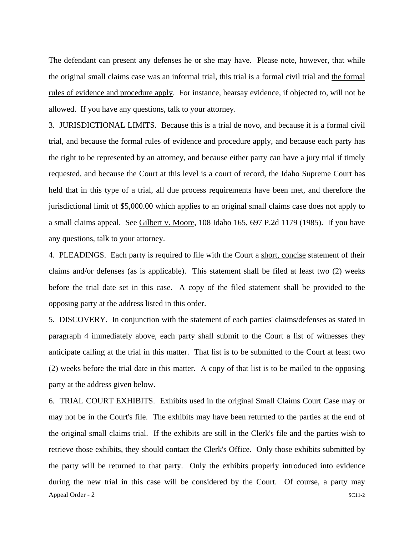The defendant can present any defenses he or she may have. Please note, however, that while the original small claims case was an informal trial, this trial is a formal civil trial and the formal rules of evidence and procedure apply. For instance, hearsay evidence, if objected to, will not be allowed. If you have any questions, talk to your attorney.

3. JURISDICTIONAL LIMITS. Because this is a trial de novo, and because it is a formal civil trial, and because the formal rules of evidence and procedure apply, and because each party has the right to be represented by an attorney, and because either party can have a jury trial if timely requested, and because the Court at this level is a court of record, the Idaho Supreme Court has held that in this type of a trial, all due process requirements have been met, and therefore the jurisdictional limit of \$5,000.00 which applies to an original small claims case does not apply to a small claims appeal. See Gilbert v. Moore, 108 Idaho 165, 697 P.2d 1179 (1985). If you have any questions, talk to your attorney.

4. PLEADINGS. Each party is required to file with the Court a short, concise statement of their claims and/or defenses (as is applicable). This statement shall be filed at least two (2) weeks before the trial date set in this case. A copy of the filed statement shall be provided to the opposing party at the address listed in this order.

5. DISCOVERY. In conjunction with the statement of each parties' claims/defenses as stated in paragraph 4 immediately above, each party shall submit to the Court a list of witnesses they anticipate calling at the trial in this matter. That list is to be submitted to the Court at least two (2) weeks before the trial date in this matter. A copy of that list is to be mailed to the opposing party at the address given below.

6. TRIAL COURT EXHIBITS. Exhibits used in the original Small Claims Court Case may or may not be in the Court's file. The exhibits may have been returned to the parties at the end of the original small claims trial. If the exhibits are still in the Clerk's file and the parties wish to retrieve those exhibits, they should contact the Clerk's Office. Only those exhibits submitted by the party will be returned to that party. Only the exhibits properly introduced into evidence during the new trial in this case will be considered by the Court. Of course, a party may Appeal Order - 2 SC11-2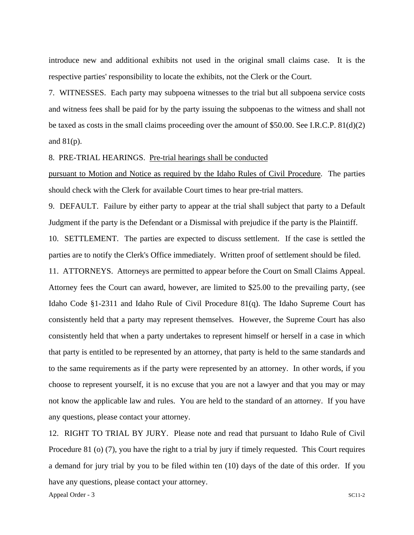introduce new and additional exhibits not used in the original small claims case. It is the respective parties' responsibility to locate the exhibits, not the Clerk or the Court.

7. WITNESSES. Each party may subpoena witnesses to the trial but all subpoena service costs and witness fees shall be paid for by the party issuing the subpoenas to the witness and shall not be taxed as costs in the small claims proceeding over the amount of \$50.00. See I.R.C.P. 81(d)(2) and  $81(p)$ .

## 8. PRE-TRIAL HEARINGS. Pre-trial hearings shall be conducted

pursuant to Motion and Notice as required by the Idaho Rules of Civil Procedure. The parties should check with the Clerk for available Court times to hear pre-trial matters.

9. DEFAULT. Failure by either party to appear at the trial shall subject that party to a Default Judgment if the party is the Defendant or a Dismissal with prejudice if the party is the Plaintiff.

10. SETTLEMENT. The parties are expected to discuss settlement. If the case is settled the parties are to notify the Clerk's Office immediately. Written proof of settlement should be filed.

11. ATTORNEYS. Attorneys are permitted to appear before the Court on Small Claims Appeal. Attorney fees the Court can award, however, are limited to \$25.00 to the prevailing party, (see Idaho Code §1-2311 and Idaho Rule of Civil Procedure 81(q). The Idaho Supreme Court has consistently held that a party may represent themselves. However, the Supreme Court has also consistently held that when a party undertakes to represent himself or herself in a case in which that party is entitled to be represented by an attorney, that party is held to the same standards and to the same requirements as if the party were represented by an attorney. In other words, if you choose to represent yourself, it is no excuse that you are not a lawyer and that you may or may not know the applicable law and rules. You are held to the standard of an attorney. If you have any questions, please contact your attorney.

12. RIGHT TO TRIAL BY JURY. Please note and read that pursuant to Idaho Rule of Civil Procedure 81 (o) (7), you have the right to a trial by jury if timely requested. This Court requires a demand for jury trial by you to be filed within ten (10) days of the date of this order. If you have any questions, please contact your attorney.

Appeal Order - 3 SC11-2